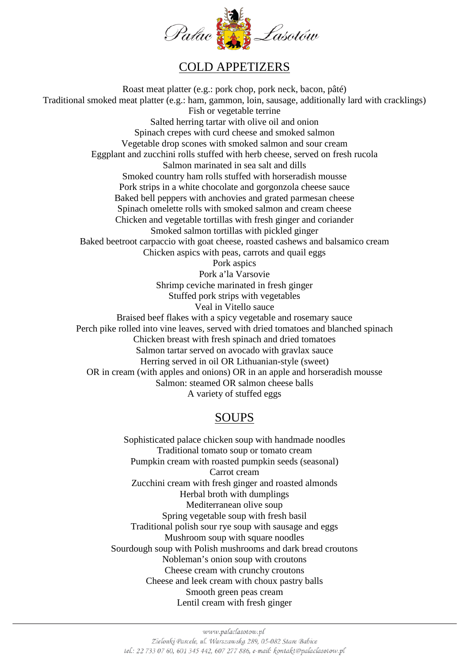

## COLD APPETIZERS

Roast meat platter (e.g.: pork chop, pork neck, bacon, pâté) Traditional smoked meat platter (e.g.: ham, gammon, loin, sausage, additionally lard with cracklings) Fish or vegetable terrine Salted herring tartar with olive oil and onion Spinach crepes with curd cheese and smoked salmon Vegetable drop scones with smoked salmon and sour cream Eggplant and zucchini rolls stuffed with herb cheese, served on fresh rucola Salmon marinated in sea salt and dills Smoked country ham rolls stuffed with horseradish mousse Pork strips in a white chocolate and gorgonzola cheese sauce Baked bell peppers with anchovies and grated parmesan cheese Spinach omelette rolls with smoked salmon and cream cheese Chicken and vegetable tortillas with fresh ginger and coriander Smoked salmon tortillas with pickled ginger Baked beetroot carpaccio with goat cheese, roasted cashews and balsamico cream Chicken aspics with peas, carrots and quail eggs Pork aspics Pork a'la Varsovie Shrimp ceviche marinated in fresh ginger Stuffed pork strips with vegetables Veal in Vitello sauce Braised beef flakes with a spicy vegetable and rosemary sauce Perch pike rolled into vine leaves, served with dried tomatoes and blanched spinach Chicken breast with fresh spinach and dried tomatoes Salmon tartar served on avocado with gravlax sauce Herring served in oil OR Lithuanian-style (sweet) OR in cream (with apples and onions) OR in an apple and horseradish mousse Salmon: steamed OR salmon cheese balls A variety of stuffed eggs

### SOUPS

Sophisticated palace chicken soup with handmade noodles Traditional tomato soup or tomato cream Pumpkin cream with roasted pumpkin seeds (seasonal) Carrot cream Zucchini cream with fresh ginger and roasted almonds Herbal broth with dumplings Mediterranean olive soup Spring vegetable soup with fresh basil Traditional polish sour rye soup with sausage and eggs Mushroom soup with square noodles Sourdough soup with Polish mushrooms and dark bread croutons Nobleman's onion soup with croutons Cheese cream with crunchy croutons Cheese and leek cream with choux pastry balls Smooth green peas cream Lentil cream with fresh ginger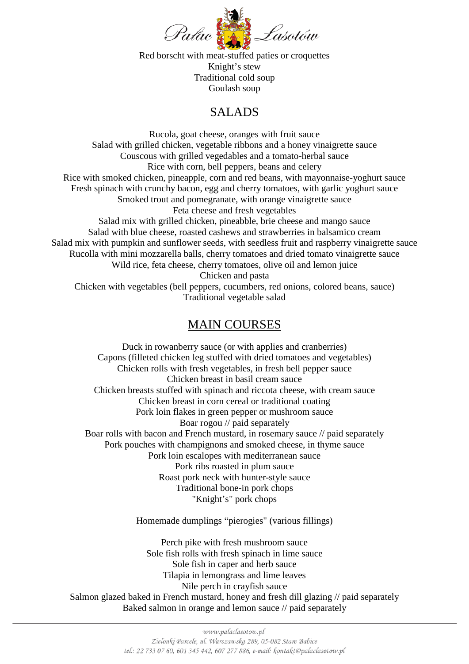

Red borscht with meat-stuffed paties or croquettes Knight's stew Traditional cold soup Goulash soup

### SALADS

Rucola, goat cheese, oranges with fruit sauce Salad with grilled chicken, vegetable ribbons and a honey vinaigrette sauce Couscous with grilled vegedables and a tomato-herbal sauce Rice with corn, bell peppers, beans and celery Rice with smoked chicken, pineapple, corn and red beans, with mayonnaise-yoghurt sauce Fresh spinach with crunchy bacon, egg and cherry tomatoes, with garlic yoghurt sauce Smoked trout and pomegranate, with orange vinaigrette sauce Feta cheese and fresh vegetables Salad mix with grilled chicken, pineabble, brie cheese and mango sauce Salad with blue cheese, roasted cashews and strawberries in balsamico cream Salad mix with pumpkin and sunflower seeds, with seedless fruit and raspberry vinaigrette sauce Rucolla with mini mozzarella balls, cherry tomatoes and dried tomato vinaigrette sauce Wild rice, feta cheese, cherry tomatoes, olive oil and lemon juice Chicken and pasta Chicken with vegetables (bell peppers, cucumbers, red onions, colored beans, sauce) Traditional vegetable salad

### MAIN COURSES

Duck in rowanberry sauce (or with applies and cranberries) Capons (filleted chicken leg stuffed with dried tomatoes and vegetables) Chicken rolls with fresh vegetables, in fresh bell pepper sauce Chicken breast in basil cream sauce Chicken breasts stuffed with spinach and riccota cheese, with cream sauce Chicken breast in corn cereal or traditional coating Pork loin flakes in green pepper or mushroom sauce Boar rogou // paid separately Boar rolls with bacon and French mustard, in rosemary sauce // paid separately Pork pouches with champignons and smoked cheese, in thyme sauce Pork loin escalopes with mediterranean sauce Pork ribs roasted in plum sauce Roast pork neck with hunter-style sauce Traditional bone-in pork chops "Knight's" pork chops

Homemade dumplings "pierogies" (various fillings)

Perch pike with fresh mushroom sauce Sole fish rolls with fresh spinach in lime sauce Sole fish in caper and herb sauce Tilapia in lemongrass and lime leaves Nile perch in crayfish sauce Salmon glazed baked in French mustard, honey and fresh dill glazing // paid separately Baked salmon in orange and lemon sauce // paid separately